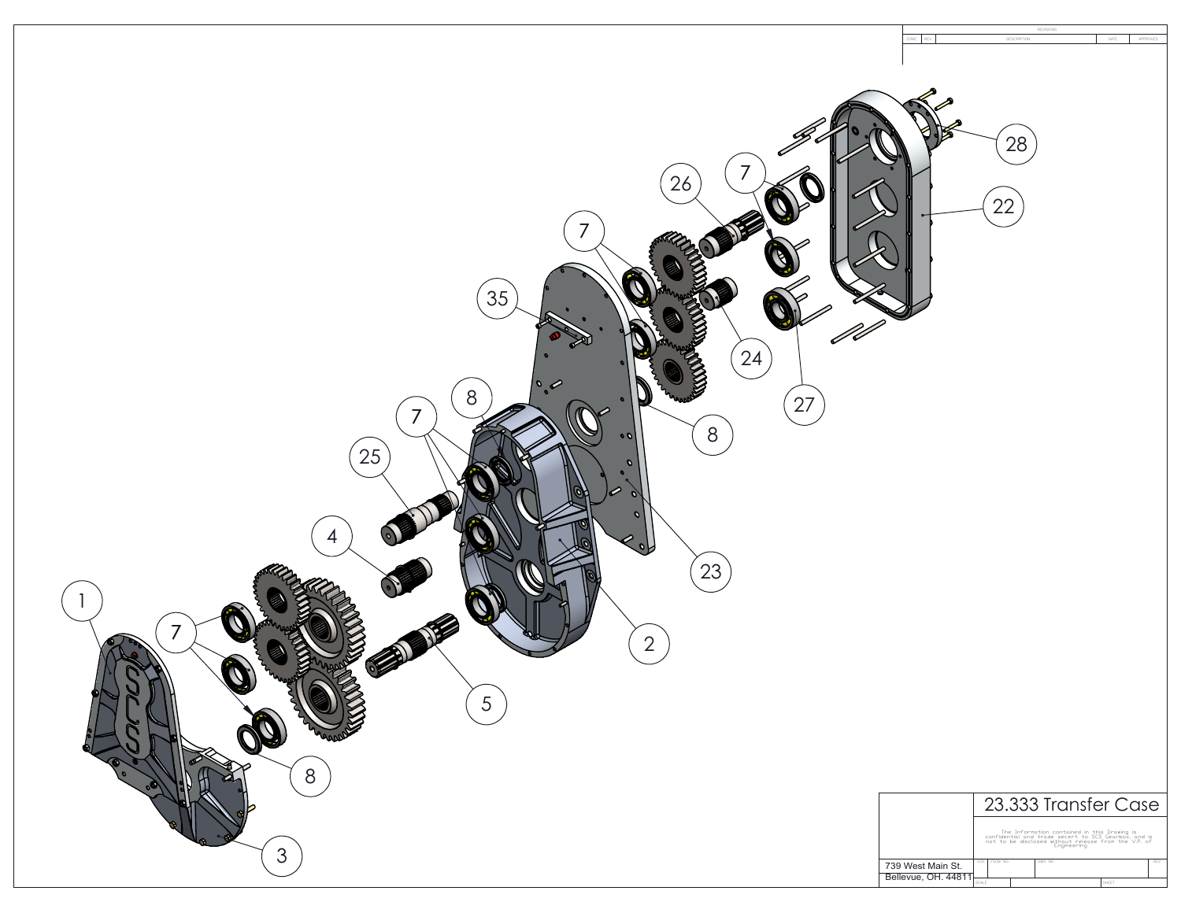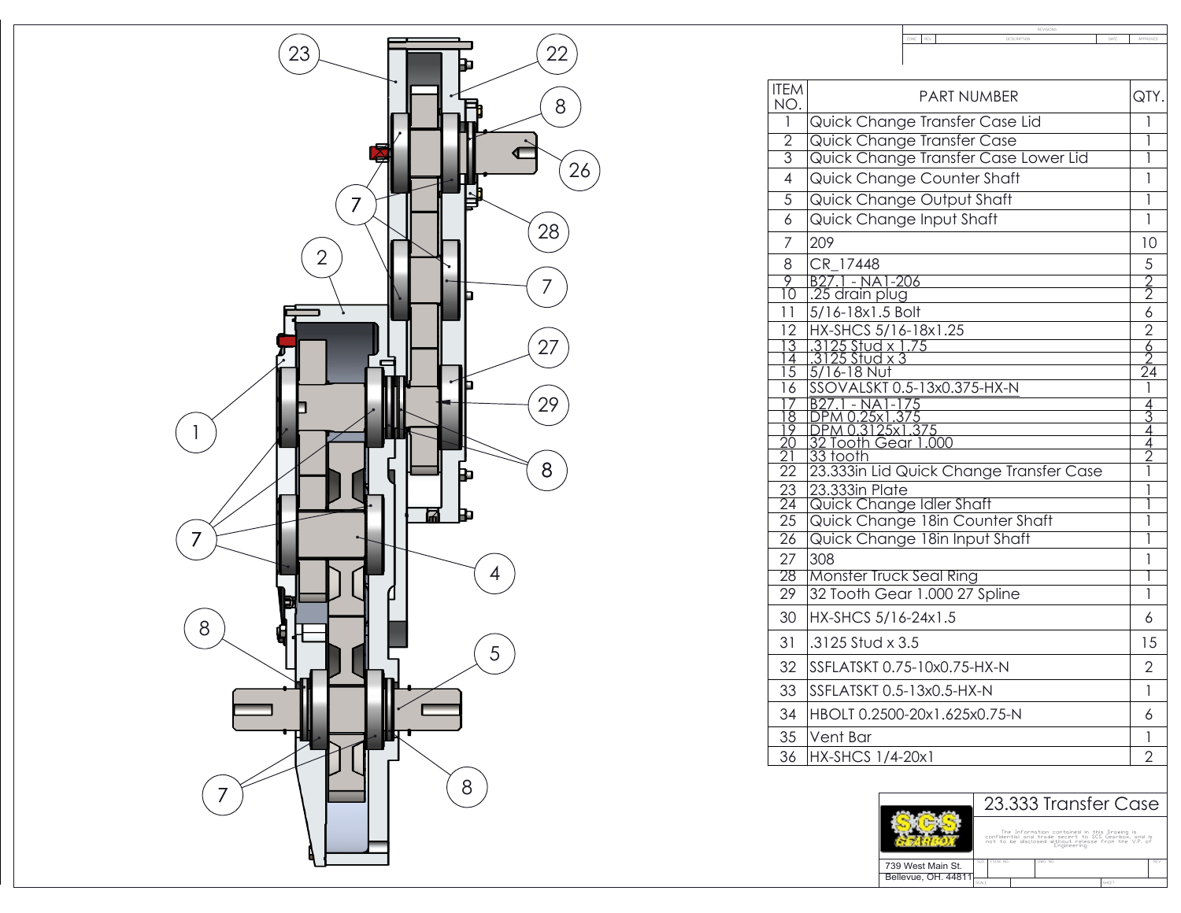

| <b>ITEM</b><br><b>PART NUMBER</b><br>NO.<br>Quick Change Transfer Case Lid<br>1<br>Quick Change Transfer Case<br>$\overline{2}$<br>Quick Change Transfer Case Lower Lid<br>$\overline{3}$<br>Quick Change Counter Shaft<br>4<br>$\overline{5}$<br>Quick Change Output Shaft<br>Quick Change Input Shaft<br>6<br>7<br>209 | QTY.<br>1<br>1<br>ī<br>1<br>1 |
|--------------------------------------------------------------------------------------------------------------------------------------------------------------------------------------------------------------------------------------------------------------------------------------------------------------------------|-------------------------------|
|                                                                                                                                                                                                                                                                                                                          |                               |
|                                                                                                                                                                                                                                                                                                                          |                               |
|                                                                                                                                                                                                                                                                                                                          |                               |
|                                                                                                                                                                                                                                                                                                                          |                               |
|                                                                                                                                                                                                                                                                                                                          |                               |
|                                                                                                                                                                                                                                                                                                                          |                               |
|                                                                                                                                                                                                                                                                                                                          | 1                             |
|                                                                                                                                                                                                                                                                                                                          | 10                            |
| CR 17448<br>8                                                                                                                                                                                                                                                                                                            | 5                             |
| $\frac{9}{10}$<br><u> B27.1 - NA1-206</u><br>  25 drain plug                                                                                                                                                                                                                                                             | $\frac{2}{2}$                 |
| 5/16-18x1.5 Bolt<br>11                                                                                                                                                                                                                                                                                                   | 6                             |
| 12<br>HX-SHCS 5/16-18x1.25                                                                                                                                                                                                                                                                                               | $\overline{2}$                |
| $\frac{3}{4}$<br><u>.3125 Stud x 1.75</u><br>.3125 Stud x 3                                                                                                                                                                                                                                                              | $\frac{6}{2}$                 |
|                                                                                                                                                                                                                                                                                                                          |                               |
| $\overline{15}$<br>$5/16 - 18$ Nut<br>SSOVALSKT 0.5-13x0.375-HX-N<br>16                                                                                                                                                                                                                                                  | $\overline{24}$<br>1          |
|                                                                                                                                                                                                                                                                                                                          |                               |
| 1 - NA1-175<br>1 0.25x1.375<br>$\frac{8}{5}$                                                                                                                                                                                                                                                                             | $\frac{4}{3}$                 |
| $\frac{19}{20}$<br><u>DPM 0.3125x1.375</u><br>32 Tooth Gear 1.000                                                                                                                                                                                                                                                        | 4<br>$\frac{1}{4}$            |
| 33 tooth<br>$\overline{21}$                                                                                                                                                                                                                                                                                              | $\vec{2}$                     |
| $\overline{22}$<br>23.333in Lid Quick Change Transfer Case                                                                                                                                                                                                                                                               | I                             |
| 23.333in Plate<br>$\frac{23}{24}$                                                                                                                                                                                                                                                                                        | 1                             |
| Quick Change Idler Shaft<br>$\overline{25}$                                                                                                                                                                                                                                                                              | 1                             |
| Quick Change 18in Counter Shaft<br>Quick Change 18in Input Shaft<br>$\overline{26}$                                                                                                                                                                                                                                      | 1<br>1                        |
| 27<br>308                                                                                                                                                                                                                                                                                                                | 1                             |
| 28<br>Monster Truck Seal Ring                                                                                                                                                                                                                                                                                            |                               |
| 32 Tooth Gear 1.000 27 Spline<br>$\overline{29}$                                                                                                                                                                                                                                                                         | 1                             |
| 30<br>HX-SHCS 5/16-24x1.5                                                                                                                                                                                                                                                                                                | 6                             |
| 31<br>.3125 Stud x 3.5                                                                                                                                                                                                                                                                                                   | 15                            |
| 32<br>SSFLATSKT 0.75-10x0.75-HX-N                                                                                                                                                                                                                                                                                        | 2                             |
| 33<br>SSFLATSKT 0.5-13x0.5-HX-N                                                                                                                                                                                                                                                                                          | 1                             |
| 34<br>HBOLT 0.2500-20x1.625x0.75-N                                                                                                                                                                                                                                                                                       | 6                             |
| 35<br>Vent Bar                                                                                                                                                                                                                                                                                                           | 1                             |
| 36<br>HX-SHCS 1/4-20x1                                                                                                                                                                                                                                                                                                   | $\overline{2}$                |

ZONE REV

REVISIONS<br>DESCRIPTION DESCRIPTION DATE APPROVED